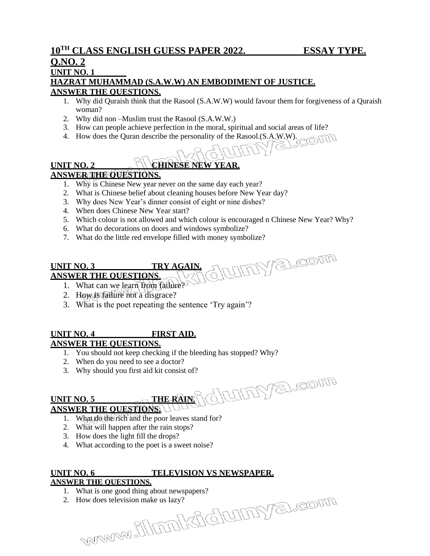# **Q.NO. 2**

# **UNIT NO. 1**

#### **HAZRAT MUHAMMAD (S.A.W.W) AN EMBODIMENT OF JUSTICE. ANSWER THE QUESTIONS.**

- 1. Why did Quraish think that the Rasool (S.A.W.W) would favour them for forgiveness of a Quraish woman?
- 2. Why did non –Muslim trust the Rasool (S.A.W.W.)
- 
- 3. How can people achieve perfection in the moral, spiritual and social areas of life?<br>4. How does the Quran describe the personality of the Rasool.(S.A.W.W). 4. How does the Quran describe the personality of the Rasool.(S.A.W.W).

# **UNIT NO. 2 CHINESE NEW YEAR.**

## **ANSWER THE QUESTIONS.**

- 1. Why is Chinese New year never on the same day each year?
- 2. What is Chinese belief about cleaning houses before New Year day?
- 3. Why does New Year's dinner consist of eight or nine dishes?
- 4. When does Chinese New Year start?
- 5. Which colour is not allowed and which colour is encouraged n Chinese New Year? Why?

idrinya.com

- 6. What do decorations on doors and windows symbolize?
- 7. What do the little red envelope filled with money symbolize?

#### UMY a.com **UNIT NO. 3 TRY AGAIN. ANSWER THE QUESTIONS**.

- 1. What can we learn from failure?
- 2. How is failure not a disgrace?
- 3. What is the poet repeating the sentence 'Try again'?

#### **UNIT NO. 4 FIRST AID. ANSWER THE QUESTIONS.**

- 1. You should not keep checking if the bleeding has stopped? Why?
- 2. When do you need to see a doctor?
- 3. Why should you first aid kit consist of?

#### **UNIT NO. 5 5 5 1 <b>THE RAIN. ANSWER THE QUESTIONS.**

- 1. What do the rich and the poor leaves stand for?
- 2. What will happen after the rain stops?
- 3. How does the light fill the drops?
- 4. What according to the poet is a sweet noise?

### **UNIT NO. 6 TELEVISION VS NEWSPAPER.**

#### **ANSWER THE QUESTIONS.**

- 1. What is one good thing about newspapers?
- 2. How does television make us lazy?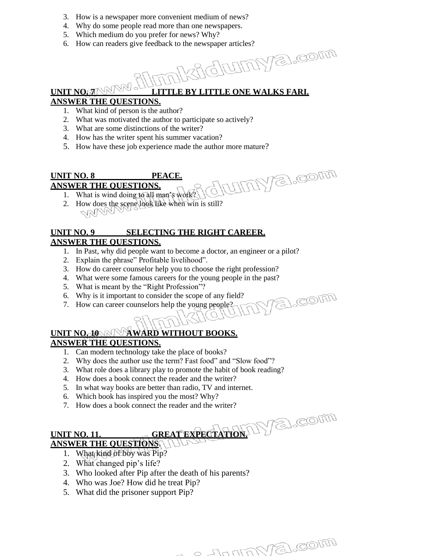- 3. How is a newspaper more convenient medium of news?
- 4. Why do some people read more than one newspapers.
- 5. Which medium do you prefer for news? Why?
- 6. How can readers give feedback to the newspaper articles?

UMY al.com

o Junna Va. com

a.com

## **UNIT NO. 7 LITTLE BY LITTLE ONE WALKS FARI.**

#### **ANSWER THE QUESTIONS.**

- 1. What kind of person is the author?
- 2. What was motivated the author to participate so actively?
- 3. What are some distinctions of the writer?
- 4. How has the writer spent his summer vacation?
- 5. How have these job experience made the author more mature?

#### **UNIT NO. 8 PEACE.**

#### **ANSWER THE QUESTIONS.**

- 1. What is wind doing to all man's work?
- 2. How does the scene look like when win is still? NNI

#### **UNIT NO. 9 SELECTING THE RIGHT CAREER. ANSWER THE QUESTIONS.**

- 1. In Past, why did people want to become a doctor, an engineer or a pilot?
- 2. Explain the phrase" Profitable livelihood".
- 3. How do career counselor help you to choose the right profession?
- 4. What were some famous careers for the young people in the past?
- 5. What is meant by the "Right Profession"?
- 6. Why is it important to consider the scope of any field?
- 7. How can career counselors help the young people?

# **UNIT NO. 10 AND WARD WITHOUT BOOKS.**

# **ANSWER THE QUESTIONS.**

- 1. Can modern technology take the place of books?
- 2. Why does the author use the term? Fast food" and "Slow food"?
- 3. What role does a library play to promote the habit of book reading?
- 4. How does a book connect the reader and the writer?
- 5. In what way books are better than radio, TV and internet.
- 6. Which book has inspired you the most? Why?
- 7. How does a book connect the reader and the writer?

# **UNIT NO. 11. GREAT EXPECTATION.** IN EL COLLE **ANSWER THE QUESTIONS**.

- 1. What kind of boy was Pip?
- 2. What changed pip's life?
- 3. Who looked after Pip after the death of his parents?
- 4. Who was Joe? How did he treat Pip?
- 5. What did the prisoner support Pip?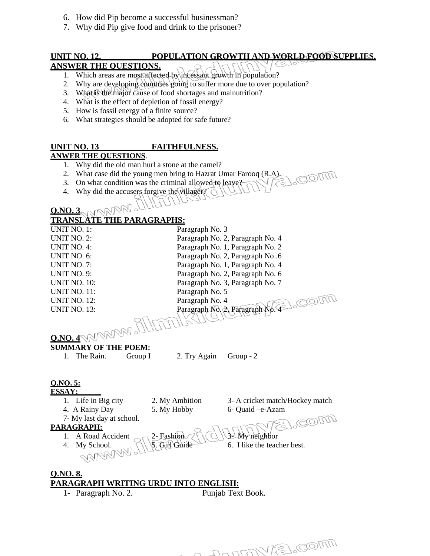- 6. How did Pip become a successful businessman?
- 7. Why did Pip give food and drink to the prisoner?

# **UNIT NO. 12. POPULATION GROWTH AND WORLD FOOD SUPPLIES.**

# **ANSWER THE QUESTIONS.**

- 1. Which areas are most affected by incessant growth in population?
- 2. Why are developing countries going to suffer more due to over population?
- 3. What is the major cause of food shortages and malnutrition?
- 4. What is the effect of depletion of fossil energy?
- 5. How is fossil energy of a finite source?
- 6. What strategies should be adopted for safe future?

#### **UNIT NO. 13 FAITHFULNESS. ANWER THE QUESTIONS**.

- 1. Why did the old man hurl a stone at the camel?
- 2. What case did the young men bring to Hazrat Umar Farooq  $(R.A)$ .<br>3. On what condition was the criminal allowed to leave
- 3. On what condition was the criminal allowed to leave?
- 4. Why did the accusers forgive the villager?  $\bigcirc$

# **Q.NO. 3**

#### **TRANSLATE THE PARAGRAPHS:**

| <b>UNIT NO. 1:</b>                          | Paragraph No. 3 |                                  |
|---------------------------------------------|-----------------|----------------------------------|
| <b>UNIT NO. 2:</b>                          |                 | Paragraph No. 2, Paragraph No. 4 |
| <b>UNIT NO. 4:</b>                          |                 | Paragraph No. 1, Paragraph No. 2 |
| UNIT NO. 6:                                 |                 | Paragraph No. 2, Paragraph No. 6 |
| UNIT NO. 7:                                 |                 | Paragraph No. 1, Paragraph No. 4 |
| <b>UNIT NO. 9:</b>                          |                 | Paragraph No. 2, Paragraph No. 6 |
| <b>UNIT NO. 10:</b>                         |                 | Paragraph No. 3, Paragraph No. 7 |
| <b>UNIT NO. 11:</b>                         | Paragraph No. 5 |                                  |
| <b>UNIT NO. 12:</b>                         | Paragraph No. 4 |                                  |
| <b>UNIT NO. 13:</b>                         |                 | Paragraph No. 2, Paragraph No.   |
| O.NO. 4 WARMAN ALLOTT                       |                 |                                  |
|                                             |                 |                                  |
|                                             |                 |                                  |
| <b>SUMMARY OF THE POEM:</b>                 |                 |                                  |
| The Rain.<br>Group I<br>$1_{-}$             | 2. Try Again    | Group $-2$                       |
|                                             |                 |                                  |
|                                             |                 |                                  |
| 0.00.5                                      |                 |                                  |
| <b>ESSAY:</b>                               |                 |                                  |
| 1. Life in Big city                         | 2. My Ambition  | 3- A cricket match/Hockey match  |
| 4. A Rainy Day                              | 5. My Hobby     | 6- Quaid -e-Azam                 |
| 7- My last day at school.                   |                 | 3).COM                           |
| PARAGRAPH:                                  |                 |                                  |
| 1. A Road Accident                          | 2- Fashion      | My neighbor                      |
| My School.<br>4.                            |                 | 6. I like the teacher best.      |
|                                             |                 |                                  |
|                                             |                 |                                  |
|                                             |                 |                                  |
| <b>O.NO. 8.</b>                             |                 |                                  |
| <b>PARAGRAPH WRITING URDU INTO ENGLISH:</b> |                 |                                  |
| 1- Paragraph No. 2.                         |                 | Punjab Text Book.                |

2 Junior B. Com